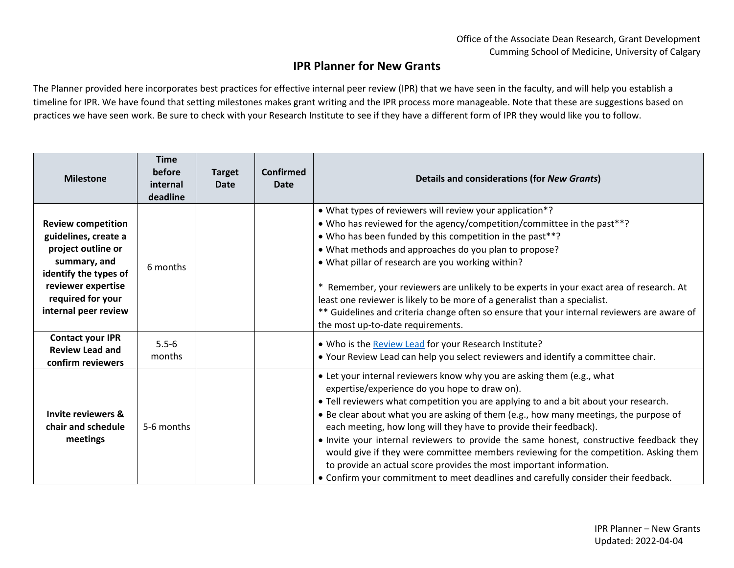## **IPR Planner for New Grants**

The Planner provided here incorporates best practices for effective internal peer review (IPR) that we have seen in the faculty, and will help you establish a timeline for IPR. We have found that setting milestones makes grant writing and the IPR process more manageable. Note that these are suggestions based on practices we have seen work. Be sure to check with your Research Institute to see if they have a different form of IPR they would like you to follow.

| <b>Milestone</b>                                                                                                                                                                    | <b>Time</b><br>before<br>internal<br>deadline | <b>Target</b><br>Date | <b>Confirmed</b><br><b>Date</b> | <b>Details and considerations (for New Grants)</b>                                                                                                                                                                                                                                                                                                                                                                                                                                                                                                                                                                                                                                                                            |
|-------------------------------------------------------------------------------------------------------------------------------------------------------------------------------------|-----------------------------------------------|-----------------------|---------------------------------|-------------------------------------------------------------------------------------------------------------------------------------------------------------------------------------------------------------------------------------------------------------------------------------------------------------------------------------------------------------------------------------------------------------------------------------------------------------------------------------------------------------------------------------------------------------------------------------------------------------------------------------------------------------------------------------------------------------------------------|
| <b>Review competition</b><br>guidelines, create a<br>project outline or<br>summary, and<br>identify the types of<br>reviewer expertise<br>required for your<br>internal peer review | 6 months                                      |                       |                                 | • What types of reviewers will review your application*?<br>• Who has reviewed for the agency/competition/committee in the past**?<br>• Who has been funded by this competition in the past**?<br>• What methods and approaches do you plan to propose?<br>. What pillar of research are you working within?<br>* Remember, your reviewers are unlikely to be experts in your exact area of research. At<br>least one reviewer is likely to be more of a generalist than a specialist.<br>** Guidelines and criteria change often so ensure that your internal reviewers are aware of<br>the most up-to-date requirements.                                                                                                    |
| <b>Contact your IPR</b><br><b>Review Lead and</b><br>confirm reviewers                                                                                                              | $5.5 - 6$<br>months                           |                       |                                 | . Who is the Review Lead for your Research Institute?<br>. Your Review Lead can help you select reviewers and identify a committee chair.                                                                                                                                                                                                                                                                                                                                                                                                                                                                                                                                                                                     |
| <b>Invite reviewers &amp;</b><br>chair and schedule<br>meetings                                                                                                                     | 5-6 months                                    |                       |                                 | • Let your internal reviewers know why you are asking them (e.g., what<br>expertise/experience do you hope to draw on).<br>• Tell reviewers what competition you are applying to and a bit about your research.<br>. Be clear about what you are asking of them (e.g., how many meetings, the purpose of<br>each meeting, how long will they have to provide their feedback).<br>. Invite your internal reviewers to provide the same honest, constructive feedback they<br>would give if they were committee members reviewing for the competition. Asking them<br>to provide an actual score provides the most important information.<br>• Confirm your commitment to meet deadlines and carefully consider their feedback. |